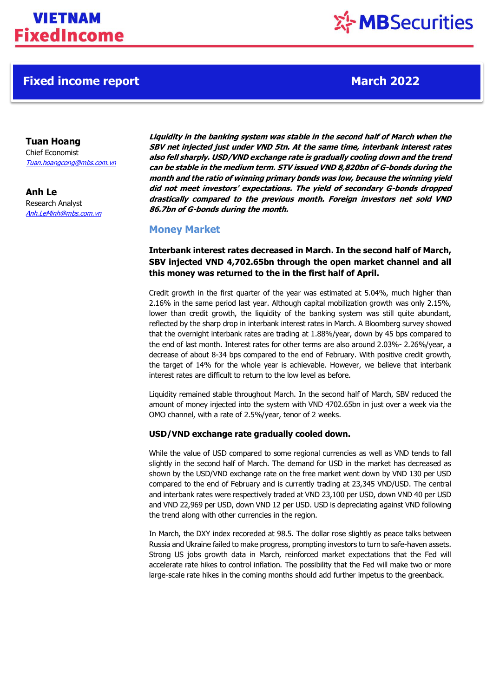## **Fixed income report March 2022**

# ※ MBSecurities

**Tuan Hoang** Chief Economist [Tuan.hoangcong@mbs.com.vn](mailto:Tuan.hoangcong@mbs.com.vn)

**Anh Le** Research Analyst Anh.LeMinh@mbs.com.vn **Liquidity in the banking system was stable in the second half of March when the SBV net injected just under VND 5tn. At the same time, interbank interest rates also fell sharply. USD/VND exchange rate is gradually cooling down and the trend can be stable in the medium term. STV issued VND 8,820bn of G-bonds during the month and the ratio of winning primary bonds was low, because the winning yield did not meet investors' expectations. The yield of secondary G-bonds dropped drastically compared to the previous month. Foreign investors net sold VND 86.7bn of G-bonds during the month.**

### **Money Market**

**Interbank interest rates decreased in March. In the second half of March, SBV injected VND 4,702.65bn through the open market channel and all this money was returned to the in the first half of April.**

Credit growth in the first quarter of the year was estimated at 5.04%, much higher than 2.16% in the same period last year. Although capital mobilization growth was only 2.15%, lower than credit growth, the liquidity of the banking system was still quite abundant, reflected by the sharp drop in interbank interest rates in March. A Bloomberg survey showed that the overnight interbank rates are trading at 1.88%/year, down by 45 bps compared to the end of last month. Interest rates for other terms are also around 2.03%- 2.26%/year, a decrease of about 8-34 bps compared to the end of February. With positive credit growth, the target of 14% for the whole year is achievable. However, we believe that interbank interest rates are difficult to return to the low level as before.

Liquidity remained stable throughout March. In the second half of March, SBV reduced the amount of money injected into the system with VND 4702.65bn in just over a week via the OMO channel, with a rate of 2.5%/year, tenor of 2 weeks.

### **USD/VND exchange rate gradually cooled down.**

While the value of USD compared to some regional currencies as well as VND tends to fall slightly in the second half of March. The demand for USD in the market has decreased as shown by the USD/VND exchange rate on the free market went down by VND 130 per USD compared to the end of February and is currently trading at 23,345 VND/USD. The central and interbank rates were respectively traded at VND 23,100 per USD, down VND 40 per USD and VND 22,969 per USD, down VND 12 per USD. USD is depreciating against VND following the trend along with other currencies in the region.

In March, the DXY index recoreded at 98.5. The dollar rose slightly as peace talks between Russia and Ukraine failed to make progress, prompting investors to turn to safe-haven assets. Strong US jobs growth data in March, reinforced market expectations that the Fed will accelerate rate hikes to control inflation. The possibility that the Fed will make two or more large-scale rate hikes in the coming months should add further impetus to the greenback.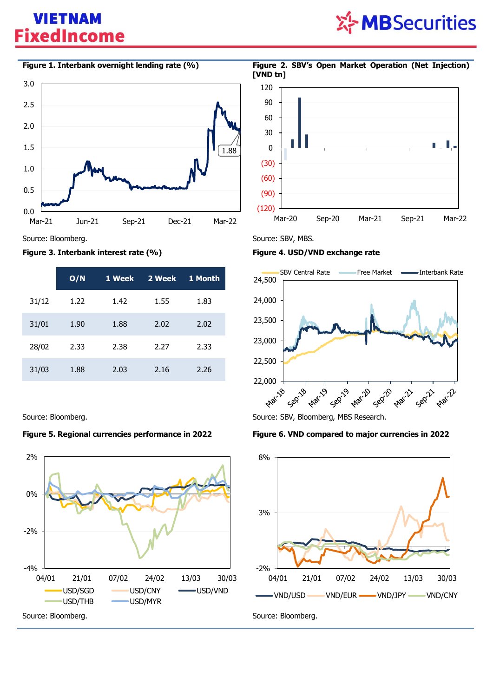## **VIETNAM FixedIncome**





Source: Bloomberg. The state of the state of the Source: SBV, MBS.

#### **Figure 3. Interbank interest rate (%) Figure 4. USD/VND exchange rate**

|       | O/N  | 1 Week | 2 Week | 1 Month |
|-------|------|--------|--------|---------|
| 31/12 | 1.22 | 1.42   | 1.55   | 1.83    |
| 31/01 | 1.90 | 1.88   | 2.02   | 2.02    |
| 28/02 | 2.33 | 2.38   | 2.27   | 2.33    |
| 31/03 | 1.88 | 2.03   | 2.16   | 2.26    |

### **Figure 5. Regional currencies performance in 2022 Figure 6. VND compared to major currencies in 2022**







Source: Bloomberg. Source: SBV, Bloomberg, MBS Research.



**Figure 1. Interbank overnight lending rate (%) Figure 2. SBV's Open Market Operation (Net Injection) [VND tn]**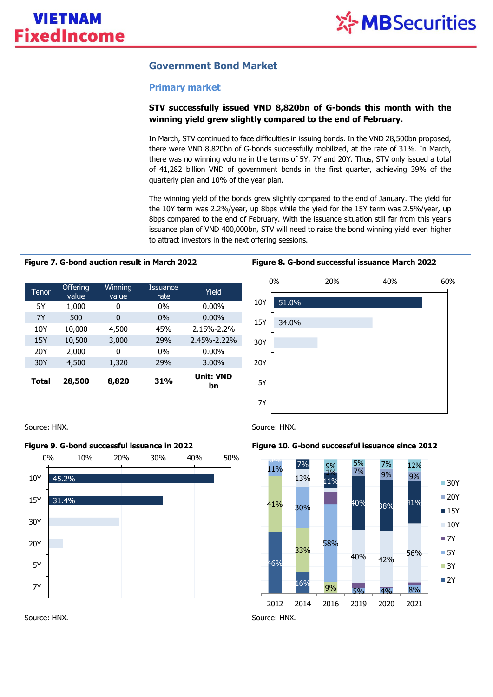### **Government Bond Market**

### **Primary market**

### **STV successfully issued VND 8,820bn of G-bonds this month with the winning yield grew slightly compared to the end of February.**

In March, STV continued to face difficulties in issuing bonds. In the VND 28,500bn proposed, there were VND 8,820bn of G-bonds successfully mobilized, at the rate of 31%. In March, there was no winning volume in the terms of 5Y, 7Y and 20Y. Thus, STV only issued a total of 41,282 billion VND of government bonds in the first quarter, achieving 39% of the quarterly plan and 10% of the year plan.

The winning yield of the bonds grew slightly compared to the end of January. The yield for the 10Y term was 2.2%/year, up 8bps while the yield for the 15Y term was 2.5%/year, up 8bps compared to the end of February. With the issuance situation still far from this year's issuance plan of VND 400,000bn, STV will need to raise the bond winning yield even higher to attract investors in the next offering sessions.

| Tenor | <b>Offering</b><br>value | <b>Winning</b><br>value | <b>Issuance</b><br>rate | Yield                  |
|-------|--------------------------|-------------------------|-------------------------|------------------------|
| 5Υ    | 1,000                    | 0                       | $0\%$                   | $0.00\%$               |
| 7Y    | 500                      | 0                       | $0\%$                   | $0.00\%$               |
| 10Y   | 10,000                   | 4,500                   | 45%                     | 2.15%-2.2%             |
| 15Y   | 10,500                   | 3,000                   | 29%                     | 2.45%-2.22%            |
| 20Y   | 2,000                    | O                       | $0\%$                   | $0.00\%$               |
| 30Y   | 4,500                    | 1,320                   | 29%                     | 3.00%                  |
| Total | 28,500                   | 8,820                   | <b>31%</b>              | <b>Unit: VND</b><br>bn |

#### **Figure 7. G-bond auction result in March 2022 Figure 8. G-bond successful issuance March 2022**



Source: HNX. Source: HNX.





Source: HNX. Source: HNX.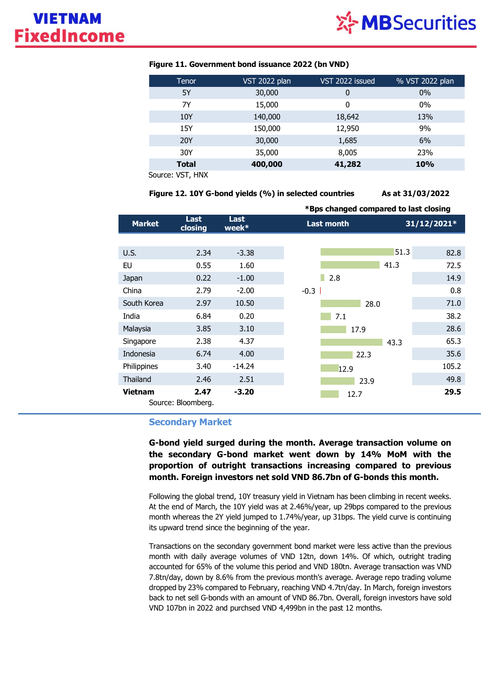

| Tenor        | VST 2022 plan | VST 2022 issued | % VST 2022 plan |
|--------------|---------------|-----------------|-----------------|
| 5Y           | 30,000        | 0               | 0%              |
| 7Y           | 15,000        | 0               | 0%              |
| 10Y          | 140,000       | 18,642          | 13%             |
| 15Y          | 150,000       | 12,950          | 9%              |
| <b>20Y</b>   | 30,000        | 1,685           | 6%              |
| 30Y          | 35,000        | 8,005           | 23%             |
| <b>Total</b> | 400,000       | 41,282          | <b>10%</b>      |
| $\cdots$     |               |                 |                 |

### **Figure 11. Government bond issuance 2022 (bn VND)**

Source: VST, HNX

**Figure 12. 10Y G-bond yields (%) in selected countries As at 31/03/2022**

|                |                            |                         |                   | *Bps changed compared to last closing |  |  |
|----------------|----------------------------|-------------------------|-------------------|---------------------------------------|--|--|
| <b>Market</b>  | Last<br>closing            | <b>Last</b><br>week $*$ | <b>Last month</b> | 31/12/2021*                           |  |  |
|                |                            |                         |                   |                                       |  |  |
| U.S.           | 2.34                       | $-3.38$                 | 51.3              | 82.8                                  |  |  |
| EU             | 0.55                       | 1.60                    | 41.3              | 72.5                                  |  |  |
| Japan          | 0.22                       | $-1.00$                 | 2.8               | 14.9                                  |  |  |
| China          | 2.79                       | $-2.00$                 | $-0.3$            | 0.8                                   |  |  |
| South Korea    | 2.97                       | 10.50                   | 28.0              | 71.0                                  |  |  |
| India          | 6.84                       | 0.20                    | 7.1               | 38.2                                  |  |  |
| Malaysia       | 3.85                       | 3.10                    | 17.9              | 28.6                                  |  |  |
| Singapore      | 2.38                       | 4.37                    | 43.3              | 65.3                                  |  |  |
| Indonesia      | 6.74                       | 4.00                    | 22.3              | 35.6                                  |  |  |
| Philippines    | 3.40                       | $-14.24$                | 12.9              | 105.2                                 |  |  |
| Thailand       | 2.46                       | 2.51                    | 23.9              | 49.8                                  |  |  |
| <b>Vietnam</b> | 2.47<br>Source: Bloomberg. | $-3.20$                 | 12.7              | 29.5                                  |  |  |

### **Secondary Market**

**G-bond yield surged during the month. Average transaction volume on the secondary G-bond market went down by 14% MoM with the proportion of outright transactions increasing compared to previous month. Foreign investors net sold VND 86.7bn of G-bonds this month.**

Following the global trend, 10Y treasury yield in Vietnam has been climbing in recent weeks. At the end of March, the 10Y yield was at 2.46%/year, up 29bps compared to the previous month whereas the 2Y yield jumped to 1.74%/year, up 31bps. The yield curve is continuing its upward trend since the beginning of the year.

Transactions on the secondary government bond market were less active than the previous month with daily average volumes of VND 12tn, down 14%. Of which, outright trading accounted for 65% of the volume this period and VND 180tn. Average transaction was VND 7.8tn/day, down by 8.6% from the previous month's average. Average repo trading volume dropped by 23% compared to February, reaching VND 4.7tn/day. In March, foreign investors back to net sell G-bonds with an amount of VND 86.7bn. Overall, foreign investors have sold VND 107bn in 2022 and purchsed VND 4,499bn in the past 12 months.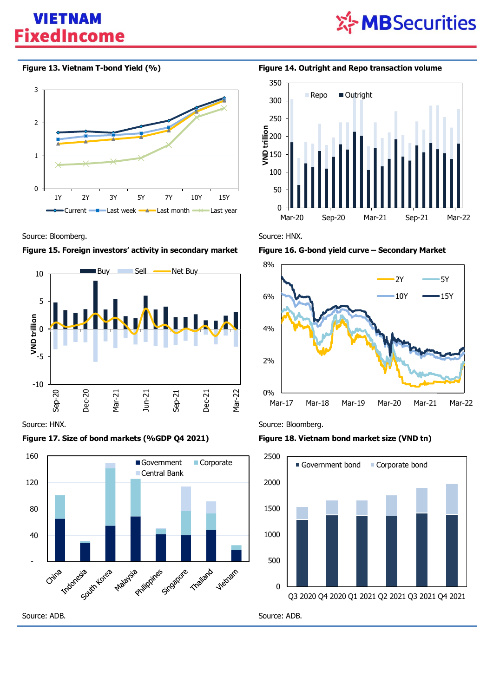## **VIETNAM FixedIncome**





Source: Bloomberg. **Source: HNX.** Source: HNX.





### **Figure 17. Size of bond markets (%GDP Q4 2021) Figure 18. Vietnam bond market size (VND tn)**



**Figure 13. Vietnam T-bond Yield (%) Figure 14. Outright and Repo transaction volume**





Source: HNX. Source: Bloomberg.



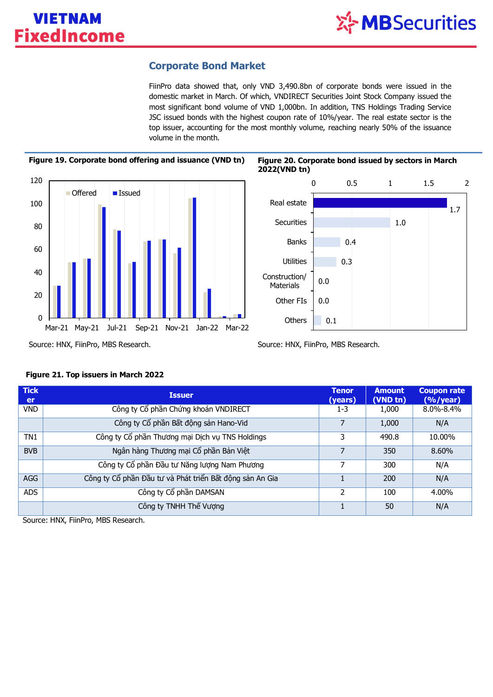### **Corporate Bond Market**

FiinPro data showed that, only VND 3,490.8bn of corporate bonds were issued in the domestic market in March. Of which, VNDIRECT Securities Joint Stock Company issued the most significant bond volume of VND 1,000bn. In addition, TNS Holdings Trading Service JSC issued bonds with the highest coupon rate of 10%/year. The real estate sector is the top issuer, accounting for the most monthly volume, reaching nearly 50% of the issuance volume in the month.





| <b>Tick</b><br><b>er</b> | <b>Issuer</b>                                            | <b>Tenor</b><br>(years) | <b>Amount</b><br>(VND tn) | <b>Coupon rate</b><br>$(%$ /year) |
|--------------------------|----------------------------------------------------------|-------------------------|---------------------------|-----------------------------------|
| <b>VND</b>               | Công ty Cổ phần Chứng khoán VNDIRECT                     | 1-3                     | 1,000                     | 8.0%-8.4%                         |
|                          | Công ty Cổ phần Bất động sản Hano-Vid                    |                         | 1,000                     | N/A                               |
| TN1                      | Công ty Cổ phần Thương mại Dịch vụ TNS Holdings          | 3                       | 490.8                     | 10.00%                            |
| <b>BVB</b>               | Ngân hàng Thương mại Cổ phần Bản Việt                    |                         | 350                       | 8.60%                             |
|                          | Công ty Cổ phần Đầu tư Năng lượng Nam Phương             |                         | 300                       | N/A                               |
| AGG                      | Công ty Cổ phần Đầu tư và Phát triển Bất động sản An Gia |                         | 200                       | N/A                               |
| ADS                      | Công ty Cổ phần DAMSAN                                   | 2                       | 100                       | 4.00%                             |
|                          | Công ty TNHH Thế Vương                                   |                         | 50                        | N/A                               |

### **Figure 21. Top issuers in March 2022**

Source: HNX, FiinPro, MBS Research.